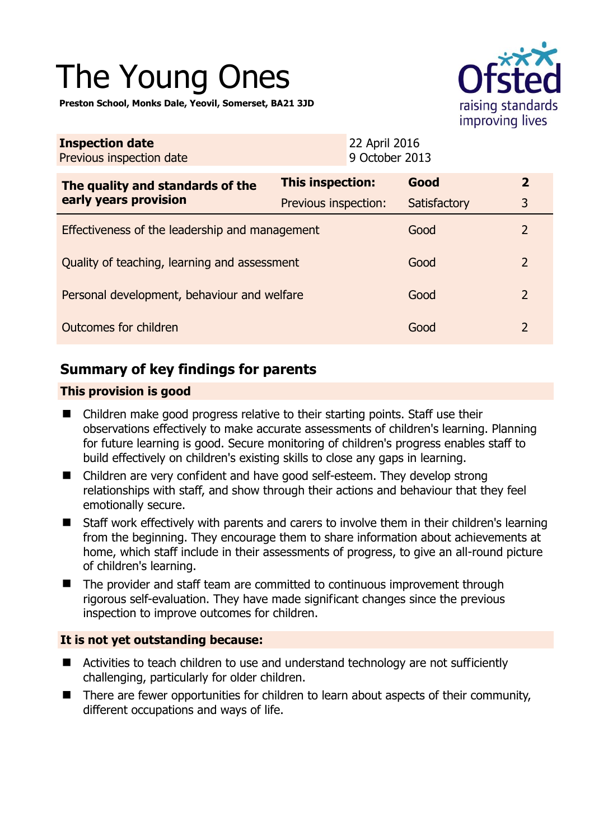# The Young Ones

**Preston School, Monks Dale, Yeovil, Somerset, BA21 3JD** 



| <b>Inspection date</b><br>Previous inspection date        |                      | 22 April 2016<br>9 October 2013 |                |
|-----------------------------------------------------------|----------------------|---------------------------------|----------------|
| The quality and standards of the<br>early years provision | This inspection:     | Good                            | $\overline{2}$ |
|                                                           | Previous inspection: | Satisfactory                    | 3              |
| Effectiveness of the leadership and management            |                      | Good                            | $\overline{2}$ |
| Quality of teaching, learning and assessment              |                      | Good                            | 2              |
| Personal development, behaviour and welfare               |                      | Good                            | 2              |
| Outcomes for children                                     |                      | Good                            | 2              |

# **Summary of key findings for parents**

### **This provision is good**

- Children make good progress relative to their starting points. Staff use their observations effectively to make accurate assessments of children's learning. Planning for future learning is good. Secure monitoring of children's progress enables staff to build effectively on children's existing skills to close any gaps in learning.
- Children are very confident and have good self-esteem. They develop strong relationships with staff, and show through their actions and behaviour that they feel emotionally secure.
- Staff work effectively with parents and carers to involve them in their children's learning from the beginning. They encourage them to share information about achievements at home, which staff include in their assessments of progress, to give an all-round picture of children's learning.
- The provider and staff team are committed to continuous improvement through rigorous self-evaluation. They have made significant changes since the previous inspection to improve outcomes for children.

## **It is not yet outstanding because:**

- Activities to teach children to use and understand technology are not sufficiently challenging, particularly for older children.
- There are fewer opportunities for children to learn about aspects of their community, different occupations and ways of life.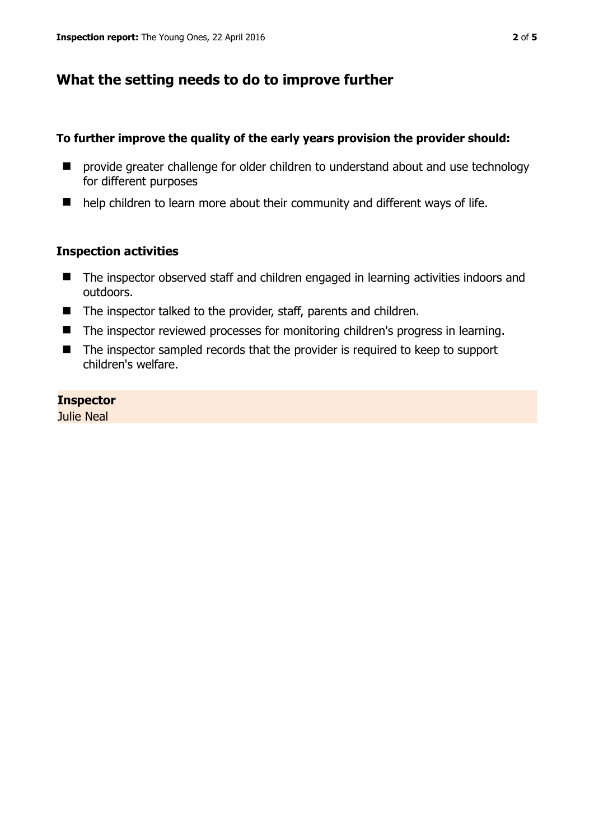## **What the setting needs to do to improve further**

#### **To further improve the quality of the early years provision the provider should:**

- **E** provide greater challenge for older children to understand about and use technology for different purposes
- help children to learn more about their community and different ways of life.

#### **Inspection activities**

- The inspector observed staff and children engaged in learning activities indoors and outdoors.
- The inspector talked to the provider, staff, parents and children.
- The inspector reviewed processes for monitoring children's progress in learning.
- The inspector sampled records that the provider is required to keep to support children's welfare.

#### **Inspector**

Julie Neal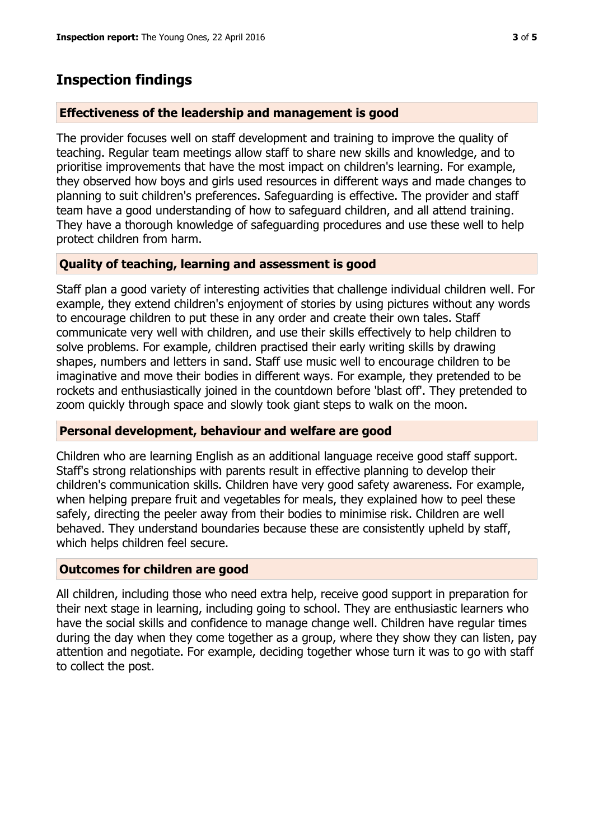# **Inspection findings**

#### **Effectiveness of the leadership and management is good**

The provider focuses well on staff development and training to improve the quality of teaching. Regular team meetings allow staff to share new skills and knowledge, and to prioritise improvements that have the most impact on children's learning. For example, they observed how boys and girls used resources in different ways and made changes to planning to suit children's preferences. Safeguarding is effective. The provider and staff team have a good understanding of how to safeguard children, and all attend training. They have a thorough knowledge of safeguarding procedures and use these well to help protect children from harm.

## **Quality of teaching, learning and assessment is good**

Staff plan a good variety of interesting activities that challenge individual children well. For example, they extend children's enjoyment of stories by using pictures without any words to encourage children to put these in any order and create their own tales. Staff communicate very well with children, and use their skills effectively to help children to solve problems. For example, children practised their early writing skills by drawing shapes, numbers and letters in sand. Staff use music well to encourage children to be imaginative and move their bodies in different ways. For example, they pretended to be rockets and enthusiastically joined in the countdown before 'blast off'. They pretended to zoom quickly through space and slowly took giant steps to walk on the moon.

#### **Personal development, behaviour and welfare are good**

Children who are learning English as an additional language receive good staff support. Staff's strong relationships with parents result in effective planning to develop their children's communication skills. Children have very good safety awareness. For example, when helping prepare fruit and vegetables for meals, they explained how to peel these safely, directing the peeler away from their bodies to minimise risk. Children are well behaved. They understand boundaries because these are consistently upheld by staff, which helps children feel secure.

#### **Outcomes for children are good**

All children, including those who need extra help, receive good support in preparation for their next stage in learning, including going to school. They are enthusiastic learners who have the social skills and confidence to manage change well. Children have regular times during the day when they come together as a group, where they show they can listen, pay attention and negotiate. For example, deciding together whose turn it was to go with staff to collect the post.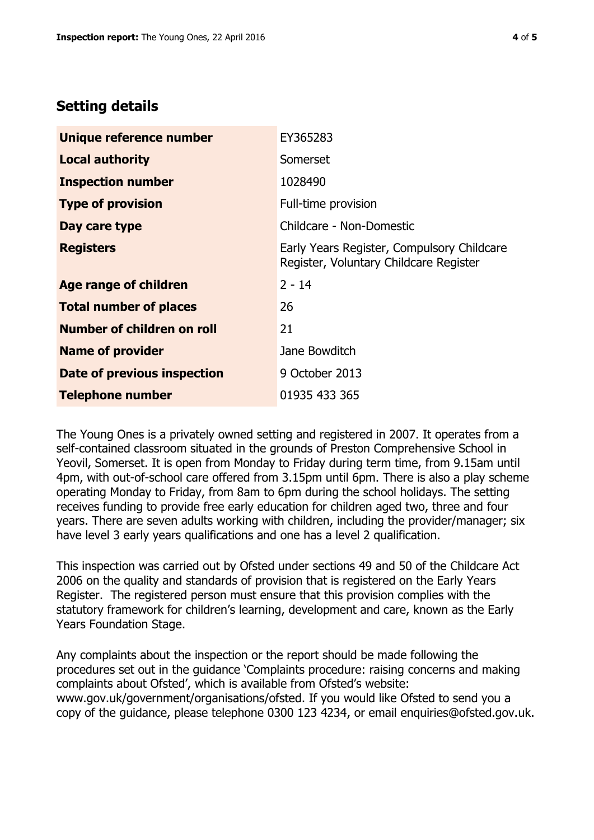## **Setting details**

| Unique reference number       | EY365283                                                                             |  |
|-------------------------------|--------------------------------------------------------------------------------------|--|
| <b>Local authority</b>        | Somerset                                                                             |  |
| <b>Inspection number</b>      | 1028490                                                                              |  |
| <b>Type of provision</b>      | Full-time provision                                                                  |  |
| Day care type                 | Childcare - Non-Domestic                                                             |  |
| <b>Registers</b>              | Early Years Register, Compulsory Childcare<br>Register, Voluntary Childcare Register |  |
| Age range of children         | $2 - 14$                                                                             |  |
| <b>Total number of places</b> | 26                                                                                   |  |
| Number of children on roll    | 21                                                                                   |  |
| <b>Name of provider</b>       | Jane Bowditch                                                                        |  |
| Date of previous inspection   | 9 October 2013                                                                       |  |
| <b>Telephone number</b>       | 01935 433 365                                                                        |  |

The Young Ones is a privately owned setting and registered in 2007. It operates from a self-contained classroom situated in the grounds of Preston Comprehensive School in Yeovil, Somerset. It is open from Monday to Friday during term time, from 9.15am until 4pm, with out-of-school care offered from 3.15pm until 6pm. There is also a play scheme operating Monday to Friday, from 8am to 6pm during the school holidays. The setting receives funding to provide free early education for children aged two, three and four years. There are seven adults working with children, including the provider/manager; six have level 3 early years qualifications and one has a level 2 qualification.

This inspection was carried out by Ofsted under sections 49 and 50 of the Childcare Act 2006 on the quality and standards of provision that is registered on the Early Years Register. The registered person must ensure that this provision complies with the statutory framework for children's learning, development and care, known as the Early Years Foundation Stage.

Any complaints about the inspection or the report should be made following the procedures set out in the guidance 'Complaints procedure: raising concerns and making complaints about Ofsted', which is available from Ofsted's website: www.gov.uk/government/organisations/ofsted. If you would like Ofsted to send you a copy of the guidance, please telephone 0300 123 4234, or email enquiries@ofsted.gov.uk.